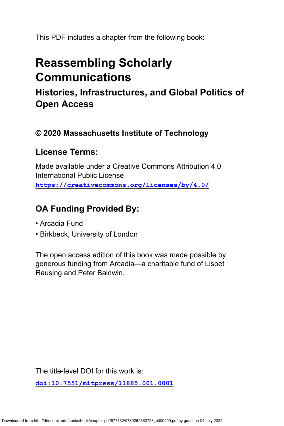This PDF includes a chapter from the following book:

# **Reassembling Scholarly Communications**

**Histories, Infrastructures, and Global Politics of Open Access**

### **© 2020 Massachusetts Institute of Technology**

### **License Terms:**

Made available under a Creative Commons Attribution 4.0 International Public License **<https://creativecommons.org/licenses/by/4.0/>**

## **OA Funding Provided By:**

- Arcadia Fund
- Birkbeck, University of London

The open access edition of this book was made possible by generous funding from Arcadia—a charitable fund of Lisbet Rausing and Peter Baldwin.

The title-level DOI for this work is:

**[doi:10.7551/mitpress/11885.001.0001](https://doi.org/10.7551/mitpress/11885.001.0001)**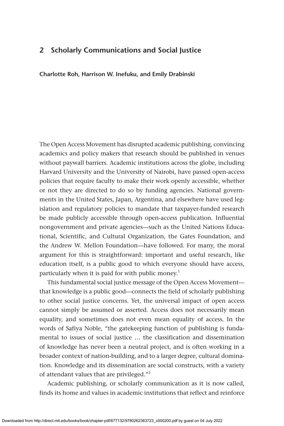### **2 Scholarly Communications and Social Justice**

**Charlotte Roh, Harrison W. Inefuku, and Emily Drabinski**

The Open Access Movement has disrupted academic publishing, convincing academics and policy makers that research should be published in venues without paywall barriers. Academic institutions across the globe, including Harvard University and the University of Nairobi, have passed open-access policies that require faculty to make their work openly accessible, whether or not they are directed to do so by funding agencies. National governments in the United States, Japan, Argentina, and elsewhere have used legislation and regulatory policies to mandate that taxpayer-funded research be made publicly accessible through open-access publication. Influential nongovernment and private agencies—such as the United Nations Educational, Scientific, and Cultural Organization, the Gates Foundation, and the Andrew W. Mellon Foundation—have followed. For many, the moral argument for this is straightforward: important and useful research, like education itself, is a public good to which everyone should have access, particularly when it is paid for with public money.<sup>1</sup>

This fundamental social justice message of the Open Access Movement that knowledge is a public good—connects the field of scholarly publishing to other social justice concerns. Yet, the universal impact of open access cannot simply be assumed or asserted. Access does not necessarily mean equality, and sometimes does not even mean equality of access. In the words of Safiya Noble, "the gatekeeping function of publishing is fundamental to issues of social justice … the classification and dissemination of knowledge has never been a neutral project, and is often working in a broader context of nation-building, and to a larger degree, cultural domination. Knowledge and its dissemination are social constructs, with a variety of attendant values that are privileged."2

Academic publishing, or scholarly communication as it is now called, finds its home and values in academic institutions that reflect and reinforce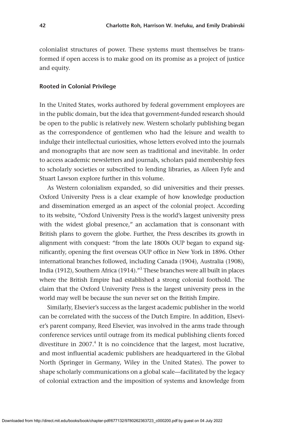colonialist structures of power. These systems must themselves be transformed if open access is to make good on its promise as a project of justice and equity.

#### **Rooted in Colonial Privilege**

In the United States, works authored by federal government employees are in the public domain, but the idea that government-funded research should be open to the public is relatively new. Western scholarly publishing began as the correspondence of gentlemen who had the leisure and wealth to indulge their intellectual curiosities, whose letters evolved into the journals and monographs that are now seen as traditional and inevitable. In order to access academic newsletters and journals, scholars paid membership fees to scholarly societies or subscribed to lending libraries, as Aileen Fyfe and Stuart Lawson explore further in this volume.

As Western colonialism expanded, so did universities and their presses. Oxford University Press is a clear example of how knowledge production and dissemination emerged as an aspect of the colonial project. According to its website, "Oxford University Press is the world's largest university press with the widest global presence," an acclamation that is consonant with British plans to govern the globe. Further, the Press describes its growth in alignment with conquest: "from the late 1800s OUP began to expand significantly, opening the first overseas OUP office in New York in 1896. Other international branches followed, including Canada (1904), Australia (1908), India (1912), Southern Africa (1914)."3 These branches were all built in places where the British Empire had established a strong colonial foothold. The claim that the Oxford University Press is the largest university press in the world may well be because the sun never set on the British Empire.

Similarly, Elsevier's success as the largest academic publisher in the world can be correlated with the success of the Dutch Empire. In addition, Elsevier's parent company, Reed Elsevier, was involved in the arms trade through conference services until outrage from its medical publishing clients forced divestiture in  $2007<sup>4</sup>$  It is no coincidence that the largest, most lucrative, and most influential academic publishers are headquartered in the Global North (Springer in Germany, Wiley in the United States). The power to shape scholarly communications on a global scale—facilitated by the legacy of colonial extraction and the imposition of systems and knowledge from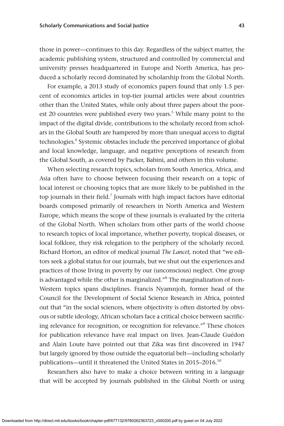those in power—continues to this day. Regardless of the subject matter, the academic publishing system, structured and controlled by commercial and university presses headquartered in Europe and North America, has produced a scholarly record dominated by scholarship from the Global North.

For example, a 2013 study of economics papers found that only 1.5 percent of economics articles in top-tier journal articles were about countries other than the United States, while only about three papers about the poorest 20 countries were published every two years.<sup>5</sup> While many point to the impact of the digital divide, contributions to the scholarly record from scholars in the Global South are hampered by more than unequal access to digital technologies.<sup>6</sup> Systemic obstacles include the perceived importance of global and local knowledge, language, and negative perceptions of research from the Global South, as covered by Packer, Babini, and others in this volume.

When selecting research topics, scholars from South America, Africa, and Asia often have to choose between focusing their research on a topic of local interest or choosing topics that are more likely to be published in the top journals in their field.<sup>7</sup> Journals with high impact factors have editorial boards composed primarily of researchers in North America and Western Europe, which means the scope of these journals is evaluated by the criteria of the Global North. When scholars from other parts of the world choose to research topics of local importance, whether poverty, tropical diseases, or local folklore, they risk relegation to the periphery of the scholarly record. Richard Horton, an editor of medical journal *The Lancet*, noted that "we editors seek a global status for our journals, but we shut out the experiences and practices of those living in poverty by our (unconscious) neglect. One group is advantaged while the other is marginalized."<sup>8</sup> The marginalization of non-Western topics spans disciplines. Francis Nyamnjoh, former head of the Council for the Development of Social Science Research in Africa, pointed out that "in the social sciences, where objectivity is often distorted by obvious or subtle ideology, African scholars face a critical choice between sacrificing relevance for recognition, or recognition for relevance."9 These choices for publication relevance have real impact on lives. Jean-Claude Guédon and Alain Loute have pointed out that Zika was first discovered in 1947 but largely ignored by those outside the equatorial belt—including scholarly publications—until it threatened the United States in 2015–2016.<sup>10</sup>

Researchers also have to make a choice between writing in a language that will be accepted by journals published in the Global North or using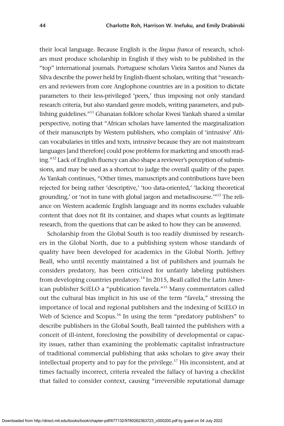their local language. Because English is the *lingua franca* of research, scholars must produce scholarship in English if they wish to be published in the "top" international journals. Portuguese scholars Vieira Santos and Nunes da Silva describe the power held by English-fluent scholars, writing that "researchers and reviewers from core Anglophone countries are in a position to dictate parameters to their less-privileged 'peers,' thus imposing not only standard research criteria, but also standard genre models, writing parameters, and publishing guidelines."11 Ghanaian folklore scholar Kwesi Yankah shared a similar perspective, noting that "African scholars have lamented the marginalization of their manuscripts by Western publishers, who complain of 'intrusive' African vocabularies in titles and texts, intrusive because they are not mainstream languages [and therefore] could pose problems for marketing and smooth reading."12 Lack of English fluency can also shape a reviewer's perception of submissions, and may be used as a shortcut to judge the overall quality of the paper. As Yankah continues, "Other times, manuscripts and contributions have been rejected for being rather 'descriptive,' 'too data-oriented,' 'lacking theoretical grounding,' or 'not in tune with global jargon and metadiscourse.'"13 The reliance on Western academic English language and its norms excludes valuable content that does not fit its container, and shapes what counts as legitimate research, from the questions that can be asked to how they can be answered.

Scholarship from the Global South is too readily dismissed by researchers in the Global North, due to a publishing system whose standards of quality have been developed for academics in the Global North. Jeffrey Beall, who until recently maintained a list of publishers and journals he considers predatory, has been criticized for unfairly labeling publishers from developing countries predatory.<sup>14</sup> In 2015, Beall called the Latin American publisher SciELO a "publication favela."15 Many commentators called out the cultural bias implicit in his use of the term "favela," stressing the importance of local and regional publishers and the indexing of SciELO in Web of Science and Scopus.<sup>16</sup> In using the term "predatory publishers" to describe publishers in the Global South, Beall tainted the publishers with a conceit of ill-intent, foreclosing the possibility of developmental or capacity issues, rather than examining the problematic capitalist infrastructure of traditional commercial publishing that asks scholars to give away their intellectual property and to pay for the privilege.<sup>17</sup> His inconsistent, and at times factually incorrect, criteria revealed the fallacy of having a checklist that failed to consider context, causing "irreversible reputational damage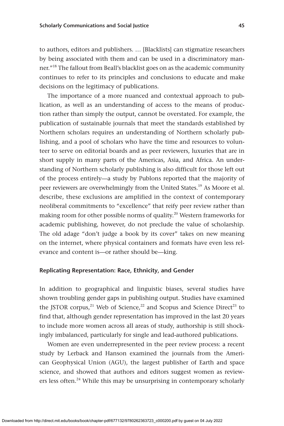to authors, editors and publishers. … [Blacklists] can stigmatize researchers by being associated with them and can be used in a discriminatory manner."<sup>18</sup> The fallout from Beall's blacklist goes on as the academic community continues to refer to its principles and conclusions to educate and make decisions on the legitimacy of publications.

The importance of a more nuanced and contextual approach to publication, as well as an understanding of access to the means of production rather than simply the output, cannot be overstated. For example, the publication of sustainable journals that meet the standards established by Northern scholars requires an understanding of Northern scholarly publishing, and a pool of scholars who have the time and resources to volunteer to serve on editorial boards and as peer reviewers, luxuries that are in short supply in many parts of the Americas, Asia, and Africa. An understanding of Northern scholarly publishing is also difficult for those left out of the process entirely—a study by Publons reported that the majority of peer reviewers are overwhelmingly from the United States.<sup>19</sup> As Moore et al. describe, these exclusions are amplified in the context of contemporary neoliberal commitments to "excellence" that reify peer review rather than making room for other possible norms of quality.<sup>20</sup> Western frameworks for academic publishing, however, do not preclude the value of scholarship. The old adage "don't judge a book by its cover" takes on new meaning on the internet, where physical containers and formats have even less relevance and content is—or rather should be—king.

#### **Replicating Representation: Race, Ethnicity, and Gender**

In addition to geographical and linguistic biases, several studies have shown troubling gender gaps in publishing output. Studies have examined the JSTOR corpus, $^{21}$  Web of Science, $^{22}$  and Scopus and Science Direct<sup>23</sup> to find that, although gender representation has improved in the last 20 years to include more women across all areas of study, authorship is still shockingly imbalanced, particularly for single and lead-authored publications.

Women are even underrepresented in the peer review process: a recent study by Lerback and Hanson examined the journals from the American Geophysical Union (AGU), the largest publisher of Earth and space science, and showed that authors and editors suggest women as reviewers less often.<sup>24</sup> While this may be unsurprising in contemporary scholarly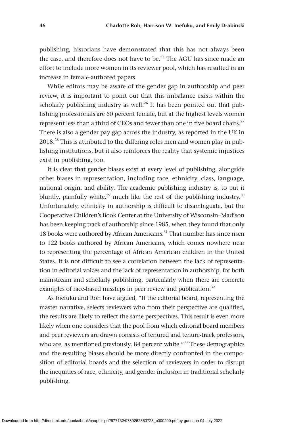publishing, historians have demonstrated that this has not always been the case, and therefore does not have to be.<sup>25</sup> The AGU has since made an effort to include more women in its reviewer pool, which has resulted in an increase in female-authored papers.

While editors may be aware of the gender gap in authorship and peer review, it is important to point out that this imbalance exists within the scholarly publishing industry as well.<sup>26</sup> It has been pointed out that publishing professionals are 60 percent female, but at the highest levels women represent less than a third of CEOs and fewer than one in five board chairs.<sup>27</sup> There is also a gender pay gap across the industry, as reported in the UK in 2018.<sup>28</sup> This is attributed to the differing roles men and women play in publishing institutions, but it also reinforces the reality that systemic injustices exist in publishing, too.

It is clear that gender biases exist at every level of publishing, alongside other biases in representation, including race, ethnicity, class, language, national origin, and ability. The academic publishing industry is, to put it bluntly, painfully white,<sup>29</sup> much like the rest of the publishing industry.<sup>30</sup> Unfortunately, ethnicity in authorship is difficult to disambiguate, but the Cooperative Children's Book Center at the University of Wisconsin–Madison has been keeping track of authorship since 1985, when they found that only 18 books were authored by African Americans.<sup>31</sup> That number has since risen to 122 books authored by African Americans, which comes nowhere near to representing the percentage of African American children in the United States. It is not difficult to see a correlation between the lack of representation in editorial voices and the lack of representation in authorship, for both mainstream and scholarly publishing, particularly when there are concrete examples of race-based missteps in peer review and publication.<sup>32</sup>

As Inefuku and Roh have argued, "If the editorial board, representing the master narrative, selects reviewers who from their perspective are qualified, the results are likely to reflect the same perspectives. This result is even more likely when one considers that the pool from which editorial board members and peer reviewers are drawn consists of tenured and tenure-track professors, who are, as mentioned previously, 84 percent white."<sup>33</sup> These demographics and the resulting biases should be more directly confronted in the composition of editorial boards and the selection of reviewers in order to disrupt the inequities of race, ethnicity, and gender inclusion in traditional scholarly publishing.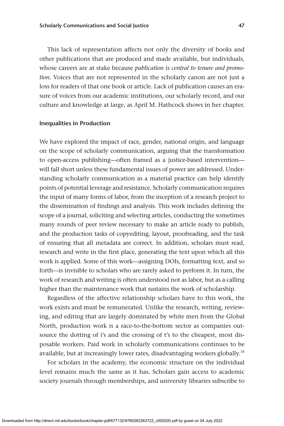This lack of representation affects not only the diversity of books and other publications that are produced and made available, but individuals, whose careers are at stake because *publication is central to tenure and promotion*. Voices that are not represented in the scholarly canon are not just a loss for readers of that one book or article. Lack of publication causes an erasure of voices from our academic institutions, our scholarly record, and our culture and knowledge at large, as April M. Hathcock shows in her chapter.

#### **Inequalities in Production**

We have explored the impact of race, gender, national origin, and language on the scope of scholarly communication, arguing that the transformation to open-access publishing—often framed as a justice-based intervention will fall short unless these fundamental issues of power are addressed. Understanding scholarly communication as a material practice can help identify points of potential leverage and resistance. Scholarly communication requires the input of many forms of labor, from the inception of a research project to the dissemination of findings and analysis. This work includes defining the scope of a journal, soliciting and selecting articles, conducting the sometimes many rounds of peer review necessary to make an article ready to publish, and the production tasks of copyediting, layout, proofreading, and the task of ensuring that all metadata are correct. In addition, scholars must read, research and write in the first place, generating the text upon which all this work is applied. Some of this work—assigning DOIs, formatting text, and so forth—is invisible to scholars who are rarely asked to perform it. In turn, the work of research and writing is often understood not as labor, but as a calling higher than the maintenance work that sustains the work of scholarship.

Regardless of the affective relationship scholars have to this work, the work exists and must be remunerated. Unlike the research, writing, reviewing, and editing that are largely dominated by white men from the Global North, production work is a race-to-the-bottom sector as companies outsource the dotting of i's and the crossing of t's to the cheapest, most disposable workers. Paid work in scholarly communications continues to be available, but at increasingly lower rates, disadvantaging workers globally.<sup>34</sup>

For scholars in the academy, the economic structure on the individual level remains much the same as it has. Scholars gain access to academic society journals through memberships, and university libraries subscribe to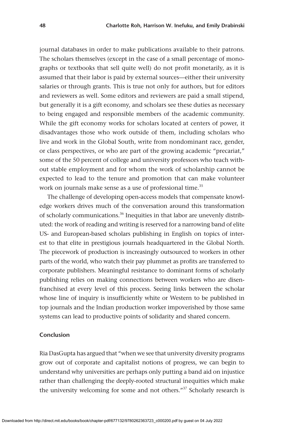journal databases in order to make publications available to their patrons. The scholars themselves (except in the case of a small percentage of monographs or textbooks that sell quite well) do not profit monetarily, as it is assumed that their labor is paid by external sources—either their university salaries or through grants. This is true not only for authors, but for editors and reviewers as well. Some editors and reviewers are paid a small stipend, but generally it is a gift economy, and scholars see these duties as necessary to being engaged and responsible members of the academic community. While the gift economy works for scholars located at centers of power, it disadvantages those who work outside of them, including scholars who live and work in the Global South, write from nondominant race, gender, or class perspectives, or who are part of the growing academic "precariat," some of the 50 percent of college and university professors who teach without stable employment and for whom the work of scholarship cannot be expected to lead to the tenure and promotion that can make volunteer work on journals make sense as a use of professional time.<sup>35</sup>

The challenge of developing open-access models that compensate knowledge workers drives much of the conversation around this transformation of scholarly communications.36 Inequities in that labor are unevenly distributed: the work of reading and writing is reserved for a narrowing band of elite US- and European-based scholars publishing in English on topics of interest to that elite in prestigious journals headquartered in the Global North. The piecework of production is increasingly outsourced to workers in other parts of the world, who watch their pay plummet as profits are transferred to corporate publishers. Meaningful resistance to dominant forms of scholarly publishing relies on making connections between workers who are disenfranchised at every level of this process. Seeing links between the scholar whose line of inquiry is insufficiently white or Western to be published in top journals and the Indian production worker impoverished by those same systems can lead to productive points of solidarity and shared concern.

#### **Conclusion**

Ria DasGupta has argued that "when we see that university diversity programs grow out of corporate and capitalist notions of progress, we can begin to understand why universities are perhaps only putting a band aid on injustice rather than challenging the deeply-rooted structural inequities which make the university welcoming for some and not others."<sup>37</sup> Scholarly research is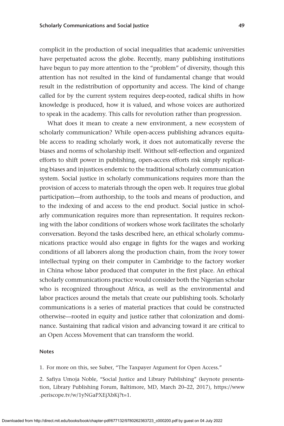complicit in the production of social inequalities that academic universities have perpetuated across the globe. Recently, many publishing institutions have begun to pay more attention to the "problem" of diversity, though this attention has not resulted in the kind of fundamental change that would result in the redistribution of opportunity and access. The kind of change called for by the current system requires deep-rooted, radical shifts in how knowledge is produced, how it is valued, and whose voices are authorized to speak in the academy. This calls for revolution rather than progression.

What does it mean to create a new environment, a new ecosystem of scholarly communication? While open-access publishing advances equitable access to reading scholarly work, it does not automatically reverse the biases and norms of scholarship itself. Without self-reflection and organized efforts to shift power in publishing, open-access efforts risk simply replicating biases and injustices endemic to the traditional scholarly communication system. Social justice in scholarly communications requires more than the provision of access to materials through the open web. It requires true global participation—from authorship, to the tools and means of production, and to the indexing of and access to the end product. Social justice in scholarly communication requires more than representation. It requires reckoning with the labor conditions of workers whose work facilitates the scholarly conversation. Beyond the tasks described here, an ethical scholarly communications practice would also engage in fights for the wages and working conditions of all laborers along the production chain, from the ivory tower intellectual typing on their computer in Cambridge to the factory worker in China whose labor produced that computer in the first place. An ethical scholarly communications practice would consider both the Nigerian scholar who is recognized throughout Africa, as well as the environmental and labor practices around the metals that create our publishing tools. Scholarly communications is a series of material practices that could be constructed otherwise—rooted in equity and justice rather that colonization and dominance. Sustaining that radical vision and advancing toward it are critical to an Open Access Movement that can transform the world.

#### **Notes**

1. For more on this, see Suber, "The Taxpayer Argument for Open Access."

2. Safiya Umoja Noble, "Social Justice and Library Publishing" (keynote presentation, Library Publishing Forum, Baltimore, MD, March 20–22, 2017), [https://www](https://www.periscope.tv/w/1yNGaPXEjXbKj?t=1) [.periscope.tv/w/1yNGaPXEjXbKj?t=1](https://www.periscope.tv/w/1yNGaPXEjXbKj?t=1).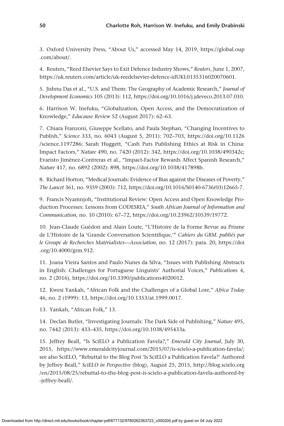3. Oxford University Press, "About Us," accessed May 14, 2019, [https://global.oup](https://global.oup.com/about/) [.com/about/.](https://global.oup.com/about/)

4. Reuters, "Reed Elsevier Says to Exit Defence Industry Shows," *Reuters*, June 1, 2007, <https://uk.reuters.com/article/uk-reedelsevier-defence-idUKL0135316020070601>.

5. Jishnu Das et al., "U.S. and Them: The Geography of Academic Research," *Journal of Development Economics* 105 (2013): 112, <https://doi.org/10.1016/j.jdeveco.2013.07.010>.

6. Harrison W. Inefuku, "Globalization, Open Access, and the Democratization of Knowledge," *Educause Review* 52 (August 2017): 62–63.

7. Chiara Franzoni, Giuseppe Scellato, and Paula Stephan, "Changing Incentives to Publish," *Science* 333, no. 6043 (August 5, 2011): 702–703, [https://doi.org/10.1126](https://doi.org/10.1126/science.1197286) [/science.1197286;](https://doi.org/10.1126/science.1197286) Sarah Huggett, "Cash Puts Publishing Ethics at Risk in China: Impact Factors," *Nature* 490, no. 7420 (2012): 342, [https://doi.org/10.1038/490342c;](https://doi.org/10.1038/490342c) Evaristo Jiménez-Contreras et al., "Impact-Factor Rewards Affect Spanish Research," *Nature* 417, no. 6892 (2002): 898,<https://doi.org/10.1038/417898b>.

8. Richard Horton, "Medical Journals: Evidence of Bias against the Diseases of Poverty," *The Lancet* 361, no. 9359 (2003): 712, [https://doi.org/10.1016/S0140-6736\(03\)12665-7.](https://doi.org/10.1016/S0140-6736(03)12665-7)

9. Francis Nyamnjoh, "Institutional Review: Open Access and Open Knowledge Production Processes: Lessons from CODESRIA," *South African Journal of Information and Communication*, no. 10 (2010): 67–72, <https://doi.org/10.23962/10539/19772>.

10. Jean-Claude Guédon and Alain Loute, "L'Histoire de la Forme Revue au Prisme de L'Histoire de la 'Grande Conversation Scientifique,'" *Cahiers du GRM. publiés par le Groupe de Recherches Matérialistes—Association*, no. 12 (2017): para. 20, [https://doi](https://doi.org/10.4000/grm.912) [.org/10.4000/grm.912](https://doi.org/10.4000/grm.912).

11. Joana Vieira Santos and Paulo Nunes da Silva, "Issues with Publishing Abstracts in English: Challenges for Portuguese Linguists' Authorial Voices," *Publications* 4, no. 2 (2016), [https://doi.org/10.3390/publications4020012.](https://doi.org/10.3390/publications4020012)

12. Kwesi Yankah, "African Folk and the Challenges of a Global Lore," *Africa Today* 46, no. 2 (1999): 13,<https://doi.org/10.1353/at.1999.0017>.

13. Yankah, "African Folk," 13.

14. Declan Butler, "Investigating Journals: The Dark Side of Publishing," *Nature* 495, no. 7442 (2013): 433–435, <https://doi.org/10.1038/495433a>.

15. Jeffrey Beall, "Is SciELO a Publication Favela?," *Emerald City Journal*, July 30, 2015, [https://www.emeraldcityjournal.com/2015/07/is-scielo-a-publication-favela/;](https://www.emeraldcityjournal.com/2015/07/is-scielo-a-publication-favela/) see also SciELO, "Rebuttal to the Blog Post 'Is SciELO a Publication Favela?' Authored by Jeffrey Beall," *SciELO in Perspective* (blog), August 25, 2015, [http://blog.scielo.org](http://blog.scielo.org/en/2015/08/25/rebuttal-to-the-blog-post-is-scielo-a-publication-favela-authored-by-jeffrey-beall/) [/en/2015/08/25/rebuttal-to-the-blog-post-is-scielo-a-publication-favela-authored-by](http://blog.scielo.org/en/2015/08/25/rebuttal-to-the-blog-post-is-scielo-a-publication-favela-authored-by-jeffrey-beall/) [-jeffrey-beall/](http://blog.scielo.org/en/2015/08/25/rebuttal-to-the-blog-post-is-scielo-a-publication-favela-authored-by-jeffrey-beall/).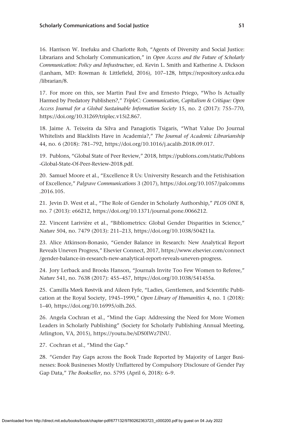16. Harrison W. Inefuku and Charlotte Roh, "Agents of Diversity and Social Justice: Librarians and Scholarly Communication," in *Open Access and the Future of Scholarly Communication: Policy and Infrastructure*, ed. Kevin L. Smith and Katherine A. Dickson (Lanham, MD: Rowman & Littlefield, 2016), 107–128, [https://repository.usfca.edu](https://repository.usfca.edu/librarian/8) [/librarian/8](https://repository.usfca.edu/librarian/8).

17. For more on this, see Martin Paul Eve and Ernesto Priego, "Who Is Actually Harmed by Predatory Publishers?," *TripleC: Communication, Capitalism & Critique: Open Access Journal for a Global Sustainable Information Society* 15, no. 2 (2017): 755–770, [https://doi.org/10.31269/triplec.v15i2.867.](https://doi.org/10.31269/triplec.v15i2.867)

18. Jaime A. Teixeira da Silva and Panagiotis Tsigaris, "What Value Do Journal Whitelists and Blacklists Have in Academia?," *The Journal of Academic Librarianship* 44, no. 6 (2018): 781–792, [https://doi.org/10.1016/j.acalib.2018.09.017.](https://doi.org/10.1016/j.acalib.2018.09.017)

19. Publons, "Global State of Peer Review," 2018, [https://publons.com/static/Publons](https://publons.com/static/Publons-Global-State-Of-Peer-Review-2018.pdf) [-Global-State-Of-Peer-Review-2018.pdf.](https://publons.com/static/Publons-Global-State-Of-Peer-Review-2018.pdf)

20. Samuel Moore et al., "Excellence R Us: University Research and the Fetishisation of Excellence," *Palgrave Communications* 3 (2017), [https://doi.org/10.1057/palcomms](https://doi.org/10.1057/palcomms.2016.105) [.2016.105.](https://doi.org/10.1057/palcomms.2016.105)

21. Jevin D. West et al., "The Role of Gender in Scholarly Authorship," *PLOS ONE* 8, no. 7 (2013): e66212,<https://doi.org/10.1371/journal.pone.0066212>.

22. Vincent Larivière et al., "Bibliometrics: Global Gender Disparities in Science," *Nature* 504, no. 7479 (2013): 211–213, <https://doi.org/10.1038/504211a>.

23. Alice Atkinson-Bonasio, "Gender Balance in Research: New Analytical Report Reveals Uneven Progress," Elsevier Connect, 2017, [https://www.elsevier.com/connect](https://www.elsevier.com/connect/gender-balance-in-research-new-analytical-report-reveals-uneven-progress) [/gender-balance-in-research-new-analytical-report-reveals-uneven-progress](https://www.elsevier.com/connect/gender-balance-in-research-new-analytical-report-reveals-uneven-progress).

24. Jory Lerback and Brooks Hanson, "Journals Invite Too Few Women to Referee," *Nature* 541, no. 7638 (2017): 455–457, <https://doi.org/10.1038/541455a>.

25. Camilla Mørk Røstvik and Aileen Fyfe, "Ladies, Gentlemen, and Scientific Publication at the Royal Society, 1945–1990," *Open Library of Humanities* 4, no. 1 (2018): 1–40,<https://doi.org/10.16995/olh.265>.

26. Angela Cochran et al., "Mind the Gap: Addressing the Need for More Women Leaders in Scholarly Publishing" (Society for Scholarly Publishing Annual Meeting, Arlington, VA, 2015), [https://youtu.be/sDS0lWz7lNU.](https://youtu.be/sDS0lWz7lNU)

27. Cochran et al., "Mind the Gap."

28. "Gender Pay Gaps across the Book Trade Reported by Majority of Larger Businesses: Book Businesses Mostly Unflattered by Compulsory Disclosure of Gender Pay Gap Data," *The Bookseller*, no. 5795 (April 6, 2018): 6–9.